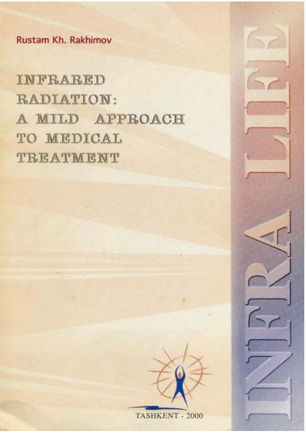Rustam Kh. Rakhimov

INFRARED RADIATION: A MILD APPROACH TO MEDICAL TREATMENT



TASHKENT - 2000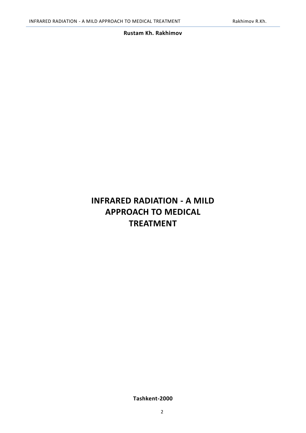## **Rustam Kh. Rakhimov**

# **INFRARED RADIATION - A MILD APPROACH TO MEDICAL TREATMENT**

**Tashkent-2000**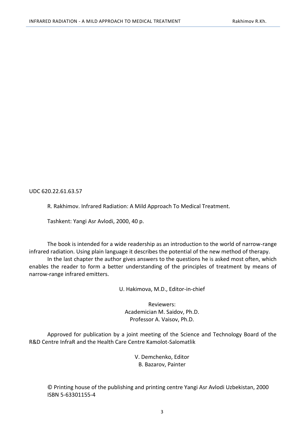UDC 620.22.61.63.57

R. Rakhimov. Infrared Radiation: A Mild Approach To Medical Treatment.

Tashkent: Yangi Asr Avlodi, 2000, 40 p.

The book is intended for a wide readership as an introduction to the world of narrow-range infrared radiation. Using plain language it describes the potential of the new method of therapy. In the last chapter the author gives answers to the questions he is asked most often, which

enables the reader to form a better understanding of the principles of treatment by means of narrow-range infrared emitters.

U. Hakimova, M.D., Editor-in-chief

Reviewers: Academician M. Saidov, Ph.D. Professor A. Vaisov, Ph.D.

Approved for publication by a joint meeting of the Science and Technology Board of the R&D Centre InfraR and the Health Care Centre Kamolot-Salomatlik

> V. Demchenko, Editor B. Bazarov, Painter

© Printing house of the publishing and printing centre Yangi Asr Avlodi Uzbekistan, 2000 ISBN 5-63301155-4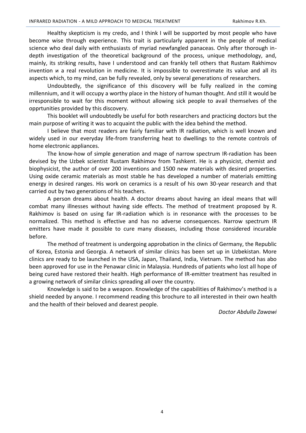Healthy skepticism is my credo, and I think I will be supported by most people who have become wise through experience. This trait is particularly apparent in the people of medical science who deal daily with enthusiasts of myriad newfangled panaceas. Only after thorough indepth investigation of the theoretical background of the process, unique methodology, and, mainly, its striking results, have I understood and can frankly tell others that Rustam Rakhimov invention и a real revolution in medicine. It is impossible to overestimate its value and all its aspects which, to my mind, can be fully revealed, only by several generations of researchers.

Undoubtedly, the significance of this discovery will be fully realized in the coming millennium, and it will occupy a worthy place in the history of human thought. And still it would be irresponsible to wait for this moment without allowing sick people to avail themselves of the opprtunities provided by this discovery.

This booklet will undoubtedly be useful for both researchers and practicing doctors but the main purpose of writing it was to acquaint the public with the idea behind the method.

I believe that most readers are fairly familiar with IR radiation, which is well known and widely used in our everyday life-from transferring heat to dwellings to the remote controls of home electronic appliances.

The know-how of simple generation and mage of narrow spectrum IR-radiation has been devised by the Uzbek scientist Rustam Rakhimov from Tashkent. He is a physicist, chemist and biophysicist, the author of over 200 inventions and 1500 new materials with desired properties. Using oxide ceramic materials as most stable he has developed a number of materials emitting energy in desired ranges. His work on ceramics is a result of his own 30-year research and that carried out by two generations of his teachers.

A person dreams about health. A doctor dreams about having an ideal means that will combat many illnesses without having side effects. The method of treatment proposed by R. Rakhimov is based on using far IR-radiation which is in resonance with the processes to be normalized. This method is effective and has no adverse consequences. Narrow spectrum IR emitters have made it possible to cure many diseases, including those considered incurable before.

The method of treatment is undergoing approbation in the clinics of Germany, the Republic of Korea, Estonia and Georgia. A network of similar clinics has been set up in Uzbekistan. More clinics are ready to be launched in the USA, Japan, Thailand, India, Vietnam. The method has abo been approved for use in the Penawar clinic in Malaysia. Hundreds of patients who lost all hope of being cured have restored their health. High performance of IR-emitter treatment has resulted in a growing network of similar clinics spreading all over the country.

Knowledge is said to be a weapon. Knowledge of the capabilities of Rakhimov's method is a shield needed by anyone. I recommend reading this brochure to all interested in their own health and the health of their beloved and dearest people.

*Doctor Abdulla Zawawi*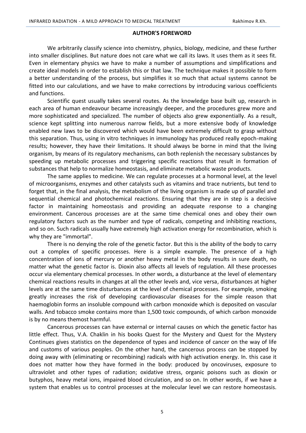#### **AUTHOR'S FOREWORD**

<span id="page-4-0"></span>We arbitrarily classify science into chemistry, physics, biology, medicine, and these further into smaller disciplines. But nature does not care what we call its laws. It uses them as it sees fit. Even in elementary physics we have to make a number of assumptions and simplifications and create ideal models in order to establish this or that law. The technique makes it possible to form a better understanding of the process, but simplifies it so much that actual systems cannot be fitted into our calculations, and we have to make corrections by introducing various coefficients and functions.

Scientific quest usually takes several routes. As the knowledge base built up, research in each area of human endeavour became increasingly deeper, and the procedures grew more and more sophisticated and specialized. The number of objects also grew exponentially. As a result, science kept splitting into numerous narrow fields, but a more extensive body of knowledge enabled new laws to be discovered which would have been extremely difficult to grasp without this separation. Thus, using in vitro techniques in immunology has produced really epoch-making results; however, they have their limitations. It should always be borne in mind that the living organism, by means of its regulatory mechanisms, can both replenish the necessary substances by speeding up metabolic processes and triggering specific reactions that result in formation of substances that help to normalize homeostasis, and eliminate metabolic waste products.

The same applies to medicine. We can regulate processes at a hormonal level, at the level of microorganisms, enzymes and other catalysts such as vitamins and trace nutrients, but tend to forget that, in the final analysis, the metabolism of the living organism is made up of parallel and sequential chemical and photochemical reactions. Ensuring that they are in step is a decisive factor in maintaining homeostasis and providing an adequate response to a changing environment. Cancerous processes are at the same time chemical ones and obey their own regulatory factors such as the number and type of radicals, competing and inhibiting reactions, and so on. Such radicals usually have extremely high activation energy for recombination, which is why they are "immortal".

There is no denying the role of the genetic factor. But this is the ability of the body to carry out a complex of specific processes. Here is a simple example. The presence of a high concentration of ions of mercury or another heavy metal in the body results in sure death, no matter what the genetic factor is. Dioxin also affects all levels of regulation. All these processes occur via elementary chemical processes. In other words, a disturbance at the level of elementary chemical reactions results in changes at all the other levels and, vice versa, disturbances at higher levels are at the same time disturbances at the level of chemical processes. For example, smoking greatly increases the risk of developing cardiovascular diseases for the simple reason that haemoglobin forms an insoluble compound with carbon monoxide which is deposited on vascular walls. And tobacco smoke contains more than 1,500 toxic compounds, of which carbon monoxide is by no means themost harmful.

Cancerous processes can have external or internal causes on which the genetic factor has little effect. Thus, V.A. Chaklin in his books Quest for the Mystery and Quest for the Mystery Continues gives statistics on the dependence of types and incidence of cancer on the way of life and customs of various peoples. On the other hand, the cancerous process can be stopped by doing away with (eliminating or recombining) radicals with high activation energy. In. this case it does not matter how they have formed in the body: produced by oncoviruses, exposure to ultraviolet and other types of radiation; oxidative stress, organic poisons such as dioxin or butyphos, heavy metal ions, impaired blood circulation, and so on. In other words, if we have a system that enables us to control processes at the molecular level we can restore homeostasis.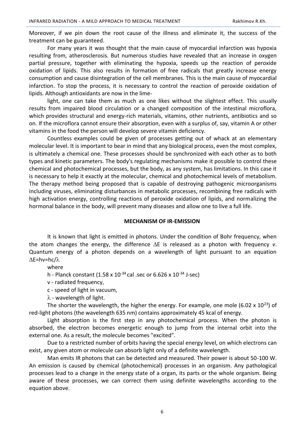Moreover, if we pin down the root cause of the illness and eliminate it, the success of the treatment can be guaranteed.

For many years it was thought that the main cause of myocardial infarction was hypoxia resulting from, atherosclerosis. But numerous studies have revealed that an increase in oxygen partial pressure, together with eliminating the hypoxia, speeds up the reaction of peroxide oxidation of lipids. This also results in formation of free radicals that greatly increase energy consumption and cause disintegration of the cell membranes. This is the main cause of myocardial infarction. To stop the process, it is necessary to control the reaction of peroxide oxidation of lipids. Although antioxidants are now in the lime-

light, one can take them as much as one likes without the slightest effect. This usually results from impaired blood circulation or a changed composition of the intestinal microflora, which provides structural and energy-rich materials, vitamins, other nutrients, antibiotics and so on. If the microflora cannot ensure their absorption, even with a surplus of, say, vitamin A or other vitamins in the food the person will develop severe vitamin deficiency.

Countless examples could be given of processes getting out of whack at an elementary molecular level. It is important to bear in mind that any biological process, even the most complex, is ultimately a chemical one. These processes should be synchronized with each other as to both types and kinetic parameters. The body's regulating mechanisms make it possible to control these chemical and photochemical processes, but the body, as any system, has limitations. In this case it is necessary to help it exactly at the molecular, chemical and photochemical levels of metabolism. The therapy method being proposed that is capable of destroying pathogenic microorganisms including viruses, eliminating disturbances in metabolic processes, recombining free radicals with high activation energy, controlling reactions of peroxide oxidation of lipids, and normalizing the hormonal balance in the body, will prevent many diseases and allow one to live a full life.

#### **MECHANISM OF IR-EMISSION**

<span id="page-5-0"></span>It is known that light is emitted in photons. Under the condition of Bohr frequency, when the atom changes the energy, the difference  $\Delta E$  is released as a photon with frequency *v*. Quantum energy of a photon depends on a wavelength of light pursuant to an equation  $\Lambda$ E=hv=hc/ $\lambda$ 

where

h - Planck constant (1.58 x 10<sup>-34</sup> cal .sec or 6.626 x 10<sup>-34</sup> J-sec)

v - radiated frequency,

с - speed of light in vacuum,

 $\lambda$  - wavelength of light.

The shorter the wavelength, the higher the energy. For example, one mole (6.02 x 10<sup>23</sup>) of red-light photons (the wavelength 635 nm) contains approximately 45 kcal of energy.

Light absorption is the first step in any photochemical process. When the photon is absorbed, the electron becomes energetic enough to jump from the internal orbit into the external one. As a result, the molecule becomes "excited".

Due to a restricted number of orbits having the special energy level, on which electrons can exist, any given atom or molecule can absorb light only of a definite wavelength.

Man emits IR photons that can be detected and measured. Their power is about 50-100 W. An emission is caused by chemical (photochemical) processes in an organism. Any pathological processes lead to a change in the energy state of a organ, its parts or the whole organism. Being aware of these processes, we can correct them using definite wavelengths according to the equation above.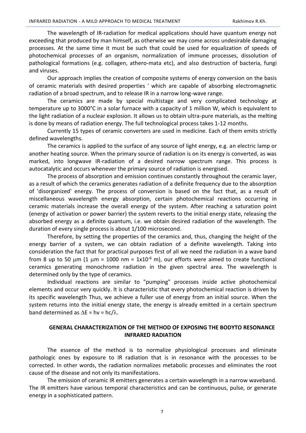The wavelength of IR-radiation for medical applications should have quantum energy not exceeding that produced by man himself, as otherwise we may come across undesirable damaging processes. At the same time it must be such that could be used for equalization of speeds of photochemical processes of an organism, normalization of immune processes, dissolution of pathological formations (e.g. collagen, athero-mata etc), and also destruction of bacteria, fungi and viruses.

Our approach implies the creation of composite systems of energy conversion on the basis of ceramic materials with desired properties ' which are capable of absorbing electromagnetic radiation of a broad spectrum, and to release IR in a narrow long-wave range.

The ceramics are made by special multistage and very complicated technology at temperature up to 3000°C in a solar furnace with a capacity of 1 million W, which is equivalent to the light radiation of a nuclear explosion. It allows us to obtain ultra-pure materials, as the melting is done by means of radiation energy. The full technological process takes 1-12 months.

Currently 15 types of ceramic converters are used in medicine. Each of them emits strictly defined wavelengths.

The ceramics is applied to the surface of any source of light energy, e.g. an electric lamp or another heating source. When the primary source of radiation is on its energy is converted, as was marked, into longwave IR-radiation of a desired narrow spectrum range. This process is autocatalytic and occurs whenever the primary source of radiation is energised.

The process of absorption and emission continues constantly throughout the ceramic layer, as a result of which the ceramics generates radiation of a definite frequency due to the absorption of 'disorganized' energy. The process of conversion is based on the fact that, as a result of miscellaneous wavelength energy absorption, certain photochemical reactions occurring in ceramic materials increase the overall energy of the system. After reaching a saturation point (energy of activation or power barrier) the system reverts to the initial energy state, releasing the absorbed energy as a definite quantum, i.e. we obtain desired radiation of the wavelength. The duration of every single process is about 1/100 microsecond.

Therefore, by setting the properties of the ceramics and, thus, changing the height of the energy barrier of a system, we can obtain radiation of a definite wavelength. Taking into consideration the fact that for practical purposes first of all we need the radiation in a wave band from 8 up to 50  $\mu$ m (1  $\mu$ m = 1000 nm = 1x10<sup>-6</sup> m), our efforts were aimed to create functional ceramics generating monochrome radiation in the given spectral area. The wavelength is determined only by the type of ceramics.

Individual reactions are similar to "pumping" processes inside active photochemical elements and occur very quickly. It is characteristic that every photochemical reaction is driven by its specific wavelength Thus, we achieve a fuller use of energy from an initial source. When the system returns into the initial energy state, the energy is already emitted in a certain spectrum band determined as  $\Delta E = h v = h c / \lambda$ .

## <span id="page-6-0"></span>**GENERAL CHARACTERIZATION OF THE METHOD OF EXPOSING THE BODYTO RESONANCE INFRARED RADIATION**

The essence of the method is to normalize physiological processes and eliminate pathologic ones by exposure to IR radiation that is in resonance with the processes to be corrected. In other words, the radiation normalizes metabolic processes and eliminates the root cause of the disease and not only its manifestations.

The emission of ceramic IR emitters generates a certain wavelength in a narrow waveband. The IR emitters have various temporal characteristics and can be continuous, pulse, or generate energy in a sophisticated pattern.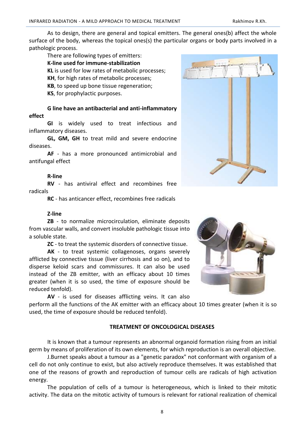As to design, there are general and topical emitters. The general ones(b) affect the whole surface of the body, whereas the topical ones(s) the particular organs or body parts involved in a pathologic process.

## There are following types of emitters:

**K-line used for immune-stabilization** 

**KL** is used for low rates of metabolic processes;

**KH**, for high rates of metabolic processes;

**KB**, to speed up bone tissue regeneration;

**KS**, for prophylactic purposes.

# **G line have an antibacterial and anti-inflammatory effect**

**GI** is widely used to treat infectious and inflammatory diseases.

**GL, GM, GH** to treat mild and severe endocrine diseases.

**AF** - has a more pronounced antimicrobial and antifungal effect

# **R-line**

**RV** - has antiviral effect and recombines free radicals

**RC** - has anticancer effect, recombines free radicals

# **Z-line**

**ZB** - to normalize microcirculation, eliminate deposits from vascular walls, and convert insoluble pathologic tissue into a soluble state.

**ZC** - to treat the systemic disorders of connective tissue.

**AK** - to treat systemic collagenoses, organs severely afflicted by connective tissue (liver cirrhosis and so on), and to disperse keloid scars and commissures. It can also be used instead of the ZB emitter, with an efficacy about 10 times greater (when it is so used, the time of exposure should be reduced tenfold).

**AV** - is used for diseases afflicting veins. It can also

perform all the functions of the AK emitter with an efficacy about 10 times greater (when it is so used, the time of exposure should be reduced tenfold).

# **TREATMENT OF ONCOLOGICAL DISEASES**

<span id="page-7-0"></span>It is known that a tumour represents an abnormal organoid formation rising from an initial germ by means of proliferation of its own elements, for which reproduction is an overall objective.

J.Burnet speaks about a tumour as a "genetic paradox" not conformant with organism of a cell do not only continue to exist, but also actively reproduce themselves. It was established that one of the reasons of growth and reproduction of tumour cells are radicals of high activation energy.

The population of cells of a tumour is heterogeneous, which is linked to their mitotic activity. The data on the mitotic activity of tumours is relevant for rational realization of chemical



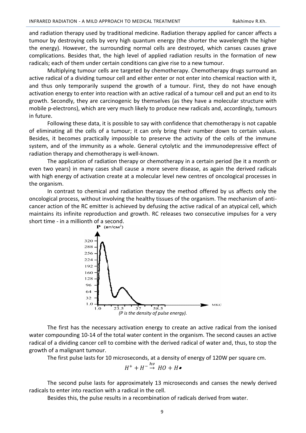and radiation therapy used by traditional medicine. Radiation therapy applied for cancer affects a tumour by destroying cells by very high quantum energy (the shorter the wavelength the higher the energy). However, the surrounding normal cells are destroyed, which canses causes grave complications. Besides that, the high level of applied radiation results in the formation of new radicals; each of them under certain conditions can give rise to a new tumour.

Multiplying tumour cells are targeted by chemotherapy. Chemotherapy drugs surround an active radical of a dividing tumour cell and either enter or not enter into chemical reaction with it, and thus only temporarily suspend the growth of a tumour. First, they do not have enough activation energy to enter into reaction with an active radical of a tumour cell and put an end to its growth. Secondly, they are carcinogenic by themselves (as they have a molecular structure with mobile p-electrons), which are very much likely to produce new radicals and, accordingly, tumours in future.

Following these data, it is possible to say with confidence that chemotherapy is not capable of eliminating all the cells of a tumour; it can only bring their number down to certain values. Besides, it becomes practically impossible to preserve the activity of the cells of the immune system, and of the immunity as a whole. General cytolytic and the immunodepressive effect of radiation therapy and chemotherapy is well-known.

The application of radiation therapy or chemotherapy in a certain period (be it a month or even two years) in many cases shall cause a more severe disease, as again the derived radicals with high energy of activation create at a molecular level new centres of oncological processes in the organism.

In contrast to chemical and radiation therapy the method offered by us affects only the oncological process, without involving the healthy tissues of the organism. The mechanism of anticancer action of the RC emitter is achieved by defusing the active radical of an atypical cell, which maintains its infinite reproduction and growth. RC releases two consecutive impulses for a very short time - in a millionth of a second.<br> **P** ( $B = \frac{B}{100}$ 



The first has the necessary activation energy to create an active radical from the ionised water compounding 10-14 of the total water content in the organism. The second causes an active radical of a dividing cancer cell to combine with the derived radical of water and, thus, to stop the growth of a malignant tumour.

The first pulse lasts for 10 microseconds, at a density of energy of 120W per square cm.

$$
H^+ + H^- \stackrel{hv}{\rightarrow} HO + H\bullet
$$

The second pulse lasts for approximately 13 microseconds and canses the newly derived radicals to enter into reaction with a radical in the cell.

Besides this, the pulse results in a recombination of radicals derived from water.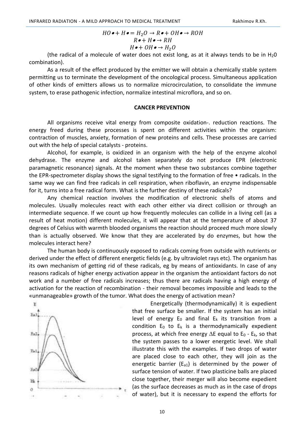$$
HO \bullet + H \bullet = H_2O \to R \bullet + OH \bullet \to ROH
$$
  

$$
R \bullet + H \bullet \to RH
$$
  

$$
H \bullet + OH \bullet \to H_2O
$$

(the radical of a molecule of water does not exist long, as at it always tends to be in  $H_2O$ combination).

As a result of the effect produced by the emitter we will obtain a chemically stable system permitting us to terminate the development of the oncological process. Simultaneous application of other kinds of emitters allows us to normalize microcirculation, to consolidate the immune system, to erase pathogenic infection, normalize intestinal microflora, and so on.

#### **CANCER PREVENTION**

<span id="page-9-0"></span>All organisms receive vital energy from composite oxidation-. reduction reactions. The energy freed during these processes is spent on different activities within the organism: contraction of muscles, anxiety, formation of new proteins and cells. These processes are carried out with the help of special catalysts - proteins.

Alcohol, for example, is oxidized in an organism with the help of the enzyme alcohol dehydrase. The enzyme and alcohol taken separately do not produce EPR (electronic paramagnetic resonance) signals. At the moment when these two substances combine together the EPR-spectrometer display shows the signal testifying to the formation of free • radicals. In the same way we can find free radicals in cell respiration, when riboflavin, an enzyme indispensable for it, turns into a free radical form. What is the further destiny of these radicals?

Any chemical reaction involves the modification of electronic shells of atoms and molecules. Usually molecules react with each other either via direct collision or through an intermediate sequence. If we count up how frequently molecules can collide in a living cell (as a result of heat motion) different molecules, it will appear that at the temperature of about 37 degrees of Celsius with warmth blooded organisms the reaction should proceed much more slowly than is actually observed. We know that they are accelerated by do enzymes, but how the molecules interact here?

The human body is continuously exposed to radicals coming from outside with nutrients or derived under the effect of different energetic fields (e.g. by ultraviolet rays etc). The organism has its own mechanism of getting rid of these radicals, eg by means of antioxidants. In case of any reasons radicals of higher energy activation appear in the organism the antioxidant factors do not work and a number of free radicals increases; thus there are radicals having a high energy of activation for the reaction of recombination - their removal becomes impossible and leads to the «unmanageable» growth of the tumor. What does the energy of activation mean?



Energetically (thermodynamically) it is expedient that free surface be smaller. If the system has an initial level of energy  $E_0$  and final  $E_k$  its transition from a condition  $E_0$  to  $E_k$  is a thermodynamically expedient process, at which free energy  $\Delta E$  equal to  $E_0$  -  $E_k$ , so that the system passes to a lower energetic level. We shall illustrate this with the examples. If two drops of water are placed close to each other, they will join as the energetic barrier  $(E_{a1})$  is determined by the power of surface tension of water. If two plasticine balls are placed close together, their merger will also become expedient (as the surface decreases as much as in the case of drops of water), but it is necessary to expend the efforts for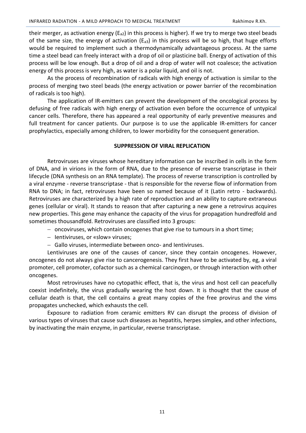their merger, as activation energy ( $E_{a2}$ ) in this process is higher). If we try to merge two steel beads of the same size, the energy of activation ( $E_{a3}$ ) in this process will be so high, that huge efforts would be required to implement such a thermodynamically advantageous process. At the same time a steel bead can freely interact with a drop of oil or plasticine ball. Energy of activation of this process will be low enough. But a drop of oil and a drop of water will not coalesce; the activation energy of this process is very high, as water is a polar liquid, and oil is not.

As the process of recombination of radicals with high energy of activation is similar to the process of merging two steel beads (the energy activation or power barrier of the recombination of radicals is too high).

The application of IR-emitters can prevent the development of the oncological process by defusing of free radicals with high energy of activation even before the occurrence of untypical cancer cells. Therefore, there has appeared a real opportunity of early preventive measures and full treatment for cancer patients. Our purpose is to use the applicable IR-emitters for cancer prophylactics, especially among children, to lower morbidity for the consequent generation.

#### **SUPPRESSION OF VIRAL REPLICATION**

<span id="page-10-0"></span>Retroviruses are viruses whose hereditary information can be inscribed in cells in the form of DNA, and in virions in the form of RNA, due to the presence of reverse transcriptase in their lifecycle (DNA synthesis on an RNA template). The process of reverse transcription is controlled by a viral enzyme - reverse transcriptase - that is responsible for the reverse flow of information from RNA to DNA; in fact, retroviruses have been so named because of it (Latin retro - backwards). Retroviruses are characterized by a high rate of reproduction and an ability to capture extraneous genes (cellular or viral). It stands to reason that after capturing a new gene a retrovirus acquires new properties. This gene may enhance the capacity of the virus for propagation hundredfold and sometimes thousandfold. Retroviruses are classified into 3 groups:

- oncoviruses, which contain oncogenes that give rise to tumours in a short time;
- Ientiviruses, or «slow» viruses;
- Gallo viruses, intermediate between onco- and Ientiviruses.

Lentiviruses are one of the causes of cancer, since they contain oncogenes. However, oncogenes do not always give rise to cancerogenesis. They first have to be activated by, eg, a viral promoter, cell promoter, cofactor such as a chemical carcinogen, or through interaction with other oncogenes.

Most retroviruses have no cytopathic effect, that is, the virus and host cell can peacefully coexist indefinitely, the virus gradually wearing the host down. It is thought that the cause of cellular death is that, the cell contains a great many copies of the free provirus and the vims propagates unchecked, which exhausts the cell.

Exposure to radiation from ceramic emitters RV can disrupt the process of division of various types of viruses that cause such diseases as hepatitis, herpes simplex, and other infections, by inactivating the main enzyme, in particular, reverse transcriptase.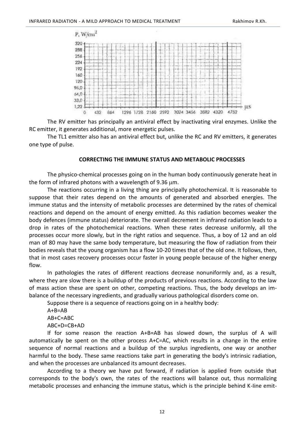

The RV emitter has principally an antiviral effect by inactivating viral enzymes. Unlike the RC emitter, it generates additional, more energetic pulses.

The TL1 emitter also has an antiviral effect but, unlike the RC and RV emitters, it generates one type of pulse.

#### **CORRECTING THE IMMUNE STATUS AND METABOLIC PROCESSES**

<span id="page-11-0"></span>The physico-chemical processes going on in the human body continuously generate heat in the form of infrared photons with a wavelength of 9.36  $\mu$ m.

The reactions occurring in a living thing are principally photochemical. It is reasonable to suppose that their rates depend on the amounts of generated and absorbed energies. The immune status and the intensity of metabolic processes are determined by the rates of chemical reactions and depend on the amount of energy emitted. As this radiation becomes weaker the body defences (immune status) deteriorate. The overall decrement in infrared radiation leads to a drop in rates of the photochemical reactions. When these rates decrease uniformly, all the processes occur more slowly, but in the right ratios and sequence. Thus, a boy of 12 and an old man of 80 may have the same body temperature, but measuring the flow of radiation from their bodies reveals that the young organism has a flow 10-20 times that of the old one. It follows, then, that in most cases recovery processes occur faster in young people because of the higher energy flow.

In pathologies the rates of different reactions decrease nonuniformly and, as a result, where they are slow there is a buildup of the products of previous reactions. According to the law of mass action these are spent on other, competing reactions. Thus, the body develops an imbalance of the necessary ingredients, and gradually various pathological disorders come on.

Suppose there is a sequence of reactions going on in a healthy body:

 $A+B=AB$ AB+C=ABC ABC+D=CB+AD

If for some reason the reaction A+B=AB has slowed down, the surplus of A will automatically be spent on the other process A+C=AC, which results in a change in the entire sequence of normal reactions and a buildup of the surplus ingredients, one way or another harmful to the body. These same reactions take part in generating the body's intrinsic radiation, and when the processes are unbalanced its amount decreases.

According to a theory we have put forward, if radiation is applied from outside that corresponds to the body's own, the rates of the reactions will balance out, thus normalizing metabolic processes and enhancing the immune status, which is the principle behind K-Iine emit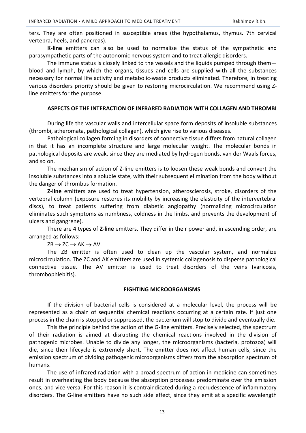ters. They are often positioned in susceptible areas (the hypothalamus, thymus. 7th cervical vertebra, heels, and pancreas).

**K-line** emitters can also be used to normalize the status of the sympathetic and parasympathetic parts of the autonomic nervous system and to treat allergic disorders.

The immune status is closely linked to the vessels and the liquids pumped through them blood and lymph, by which the organs, tissues and cells are supplied with all the substances necessary for normal life activity and metabolic-waste products eliminated. Therefore, in treating various disorders priority should be given to restoring microcirculation. We recommend using Zline emitters for the purpose.

#### **ASPECTS OF THE INTERACTION OF INFRARED RADIATION WITH COLLAGEN AND THROMBI**

<span id="page-12-0"></span>During life the vascular walls and intercellular space form deposits of insoluble substances (thrombi, atheromata, pathological collagen), which give rise to various diseases.

Pathological collagen forming in disorders of connective tissue differs from natural collagen in that it has an incomplete structure and large molecular weight. The molecular bonds in pathological deposits are weak, since they are mediated by hydrogen bonds, van der Waals forces, and so on.

The mechanism of action of Z-Iine emitters is to loosen these weak bonds and convert the insoluble substances into a soluble state, with their subsequent elimination from the body without the danger of thrombus formation.

**Z-line** emitters are used to treat hypertension, atherosclerosis, stroke, disorders of the vertebral column (exposure restores its mobility by increasing the elasticity of the intervertebral discs), to treat patients suffering from diabetic angiopathy (normalizing microcirculation eliminates such symptoms as numbness, coldness in the limbs, and prevents the development of ulcers and gangrene).

There are 4 types of **Z-line** emitters. They differ in their power and, in ascending order, are arranged as follows:

 $ZB \rightarrow ZC \rightarrow AK \rightarrow AV.$ 

The ZB emitter is often used to clean up the vascular system, and normalize microcirculation. The ZC and AK emitters are used in systemic collagenosis to disperse pathological connective tissue. The AV emitter is used to treat disorders of the veins (varicosis, thrombophlebitis).

#### **FIGHTING MICROORGANISMS**

<span id="page-12-1"></span>If the division of bacterial cells is considered at a molecular level, the process will be represented as a chain of sequential chemical reactions occurring at a certain rate. If just one process in the chain is stopped or suppressed, the bacterium will stop to divide and eventually die.

This the principle behind the action of the G-line emitters. Precisely selected, the spectrum of their radiation is aimed at disrupting the chemical reactions involved in the division of pathogenic microbes. Unable to divide any longer, the microorganisms (bacteria, protozoa) will die, since their lifecycle is extremely short. The emitter does not affect human cells, since the emission spectrum of dividing pathogenic microorganisms differs from the absorption spectrum of humans.

The use of infrared radiation with a broad spectrum of action in medicine can sometimes result in overheating the body because the absorption processes predominate over the emission ones, and vice versa. For this reason it is contraindicated during a recrudescence of inflammatory disorders. The G-line emitters have no such side effect, since they emit at a specific wavelength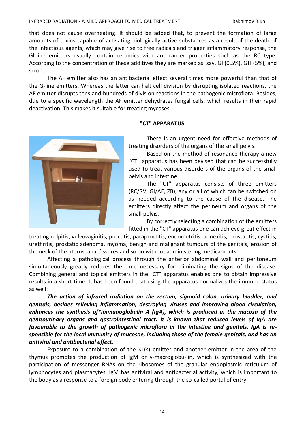that does not cause overheating. It should be added that, to prevent the formation of large amounts of toxins capable of activating biologically active substances as a result of the death of the infectious agents, which may give rise to free radicals and trigger inflammatory response, the Gl-line emitters usually contain ceramics with anti-cancer properties such as the RC type. According to the concentration of these additives they are marked as, say, GI (0.5%), GH (5%), and so on.

The AF emitter also has an antibacterial effect several times more powerful than that of the G-line emitters. Whereas the latter can halt cell division by disrupting isolated reactions, the AF emitter disrupts tens and hundreds of division reactions in the pathogenic microflora. Besides, due to a specific wavelength the AF emitter dehydrates fungal cells, which results in their rapid deactivation. This makes it suitable for treating mycoses.

## **"CT" APPARATUS**

<span id="page-13-0"></span>

There is an urgent need for effective methods of treating disorders of the organs of the small pelvis.

Based on the method of resonance therapy a new "CT" apparatus has been devised that can be successfully used to treat various disorders of the organs of the small pelvis and intestine.

The "CT" apparatus consists of three emitters (RC/RV, GI/AF, ZB), any or all of which can be switched on as needed according to the cause of the disease. The emitters directly affect the perineum and organs of the small pelvis.

By correctly selecting a combination of the emitters fitted in the "CT" apparatus one can achieve great effect in

treating colpitis, vulvovaginitis, proctitis, paraproctitis, endometritis, adnexitis, prostatitis, cystitis, urethritis, prostatic adenoma, myoma, benign and malignant tumours of the genitals, erosion of the neck of the uterus, anal fissures and so on without administering medicaments.

Affecting a pathological process through the anterior abdominal wall and peritoneum simultaneously greatly reduces the time necessary for eliminating the signs of the disease. Combining general and topical emitters in the "CT" apparatus enables one to obtain impressive results in a short time. It has been found that using the apparatus normalizes the immune status as well:

*The action of infrared radiation on the rectum, sigmoid colon, urinary bladder, and genitals, besides relieving inflammation, destroying viruses and improving blood circulation, enhances the synthesis of\*immunoglobulin A (IgA), which is produced in the mucosa of the genitourinary organs and gastrointestinal tract. It is known that reduced levels of IgA are favourable to the growth of pathogenic microflora in the intestine and genitals. IgA is responsible for the local immunity of mucosae, including those of the female genitals, and has an antiviral and antibacterial effect.*

Exposure to a combination of the KL(s) emitter and another emitter in the area of the thymus promotes the production of IgM or y-macroglobu-lin, which is synthesized with the participation of messenger RNAs on the ribosomes of the granular endoplasmic reticulum of lymphocytes and plasmacytes. IgM has antiviral and antibacterial activity, which is important to the body as a response to a foreign body entering through the so-called portal of entry.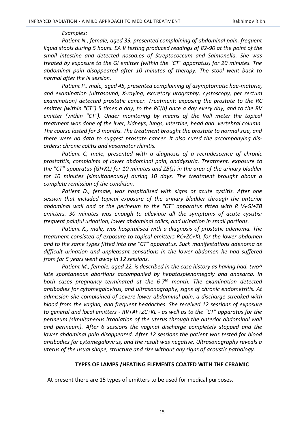#### *Examples:*

*Patient N., female, aged 39, presented complaining of abdominal pain, frequent liquid stools during 5 hours. EA V testing produced readings of 82-90 at the point of the small intestine and detected nosod.es of Streptococcum and Salmonella. She was treated by exposure to the GI emitter (within the "CT" apparatus) for 20 minutes. The abdominal pain disappeared after 10 minutes of therapy. The stool went back to normal after the Iя session.*

*Patient P., male, aged 45, presented complaining of asymptomatic hae-maturia, and examination (ultrasound, X-raying, excretory urography, cystoscopy, per rectum examination) detected prostatic cancer. Treatment: exposing the prostate to the RC emitter (within "CT") 5 times a day, to the RC(b) once a day every day, and to the RV emitter (within "CT"). Under monitoring by means of the Voll meter the topical treatment was done of the liver, kidneys, lungs, intestine, head and. vertebral column. The course lasted for 3 months. The treatment brought the prostate to normal size, and there were no data to suggest prostate cancer. It also cured the accompanying disorders: chronic colitis and vasomotor rhinitis.*

Patient C, male, presented with a diagnosis of a recrudescence of chronic *prostatitis, complaints of lower abdominal pain, anddysuria. Treatment: exposure to the "CT" apparatus (GI+KL) for 10 minutes and ZB(s) in the area of the urinary bladder for 10 minutes (simultaneously) during 10 days. The treatment brought about a complete remission of the condition.*

Patient D., female, was hospitalised with signs of acute cystitis. After one *session that included topical exposure of the urinary bladder through the anterior abdominal wall and of the perineum to the "CT" apparatus fitted with R V+GI+ZB emitters. 30 minutes was enough to alleviate all the symptoms of acute cystitis: frequent painful urination, lower abdominal colics, and urination in small portions.*

*Patient K., male, was hospitalised with a diagnosis of prostatic adenoma. The treatment consisted of exposure to topical emitters RC+ZC+KL for the lower abdomen and to the same types fitted into the "CT" apparatus. Such manifestations adenoma as difficult urination and unpleasant sensations in the lower abdomen he had suffered from for 5 years went away in 12 sessions.*

*Patient M., female, aged 22, is described in the case history as having had. two^ late spontaneous abortions accompanied by hepatosplenomegaly and anasarca. In both cases pregnancy terminated at the 6-7 th month. The examination detected antibodies for cytomegalovirus, and ultrasonography, signs of chronic endometritis. At admission she complained of severe lower abdominal pain, a discharge streaked with blood from the vagina, and frequent headaches. She received 12 sessions of exposure to general and local emitters - RV+AF+ZC+KL - as well as to the "CT" apparatus for the perineum (simultaneous irradiation of the uterus through the anterior abdominal wall and perineum). After 6 sessions the vaginal discharge completely stopped and the lower abdominal pain disappeared. After 12 sessions the patient was tested for blood antibodies for cytomegalovirus, and the result was negative. Ultrasonography reveals a uterus of the usual shape, structure and size without any signs of acoustic pathology.*

#### **TYPES OF LAMPS /HEATING ELEMENTS COATED WITH THE CERAMIC**

<span id="page-14-0"></span>At present there are 15 types of emitters to be used for medical purposes.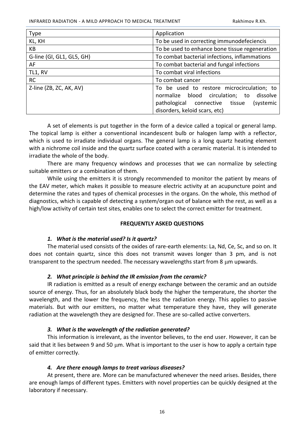| <b>Type</b>               | Application                                                                                                                                                               |  |
|---------------------------|---------------------------------------------------------------------------------------------------------------------------------------------------------------------------|--|
| KL, KH                    | To be used in correcting immunodefeciencis                                                                                                                                |  |
| КB                        | To be used to enhance bone tissue regeneration                                                                                                                            |  |
| G-line (GI, GL1, GL5, GH) | To combat bacterial infections, inflammations                                                                                                                             |  |
| AF                        | To combat bacterial and fungal infections                                                                                                                                 |  |
| TL1, RV                   | To combat viral infections                                                                                                                                                |  |
| <b>RC</b>                 | To combat cancer                                                                                                                                                          |  |
| Z-line (ZB, ZC, AK, AV)   | To be used to restore microcirculation; to<br>normalize blood circulation; to dissolve<br>pathological connective<br>tissue<br>(systemic<br>disorders, keloid scars, etc) |  |

A set of elements is put together in the form of a device called a topical or general lamp. The topical lamp is either a conventional incandescent bulb or halogen lamp with a reflector, which is used to irradiate individual organs. The general lamp is a long quartz heating element with a nichrome coil inside and the quartz surface coated with a ceramic material. It is intended to irradiate the whole of the body.

There are many frequency windows and processes that we can normalize by selecting suitable emitters or a combination of them.

While using the emitters it is strongly recommended to monitor the patient by means of the EAV meter, which makes it possible to measure electric activity at an acupuncture point and determine the rates and types of chemical processes in the organs. On the whole, this method of diagnostics, which is capable of detecting a system/organ out of balance with the rest, as well as a high/low activity of certain test sites, enables one to select the correct emitter for treatment.

#### **FREQUENTLY ASKED QUESTIONS**

# *1. What is the material used? Is it quartz?*

<span id="page-15-0"></span>The material used consists of the oxides of rare-earth elements: La, Nd, Ce, Sc, and so on. It does not contain quartz, since this does not transmit waves longer than 3 pm, and is not transparent to the spectrum needed. The necessary wavelengths start from 8  $\mu$ m upwards.

# *2. What principle is behind the IR emission from the ceramic?*

IR radiation is emitted as a result of energy exchange between the ceramic and an outside source of energy. Thus, for an absolutely black body the higher the temperature, the shorter the wavelength, and the lower the frequency, the less the radiation energy. This applies to passive materials. But with our emitters, no matter what temperature they have, they will generate radiation at the wavelength they are designed for. These are so-called active converters.

# *3. What is the wavelength of the radiation generated?*

This information is irrelevant, as the inventor believes, to the end user. However, it can be said that it lies between 9 and 50  $\mu$ m. What is important to the user is how to apply a certain type of emitter correctly.

#### *4. Are there enough lamps to treat various diseases?*

At present, there are. More can be manufactured whenever the need arises. Besides, there are enough lamps of different types. Emitters with novel properties can be quickly designed at the laboratory if necessary.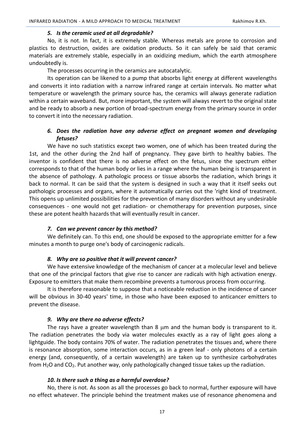#### *5. Is the ceramic used at all degradahle?*

No, it is not. In fact, it is extremely stable. Whereas metals are prone to corrosion and plastics to destruction, oxides are oxidation products. So it can safely be said that ceramic materials are extremely stable, especially in an oxidizing medium, which the earth atmosphere undoubtedly is.

The processes occurring in the ceramics are autocatalytic.

Its operation can be likened to a pump that absorbs light energy at different wavelengths and converts it into radiation with a narrow infrared range at certain intervals. No matter what temperature or wavelength the primary source has, the ceramics will always generate radiation within a certain waveband. But, more important, the system will always revert to the original state and be ready to absorb a new portion of broad-spectrum energy from the primary source in order to convert it into the necessary radiation.

# *6. Does the radiation have any adverse effect on pregnant women and developing fetuses?*

We have no such statistics except two women, one of which has been treated during the 1st, and the other during the 2nd half of pregnancy. They gave birth to healthy babies. The inventor is confident that there is no adverse effect on the fetus, since the spectrum either corresponds to that of the human body or lies in a range where the human being is transparent in the absence of pathology. A pathologic process or tissue absorbs the radiation, which brings it back to normal. It can be said that the system is designed in such a way that it itself seeks out pathologic processes and organs, where it automatically carries out the 'right kind of treatment. This opens up unlimited possibilities for the prevention of many disorders without any undesirable consequences - one would not get radiation- or chemotherapy for prevention purposes, since these are potent health hazards that will eventually result in cancer.

#### *7. Can we prevent cancer by this method?*

We definitely can. To this end, one should be exposed to the appropriate emitter for a few minutes a month to purge one's body of carcinogenic radicals.

#### *8. Why are so positive that it will prevent cancer?*

We have extensive knowledge of the mechanism of cancer at a molecular level and believe that one of the principal factors that give rise to cancer are radicals with high activation energy. Exposure to emitters that make them recombine prevents a tumorous process from occurring.

It is therefore reasonable to suppose that a noticeable reduction in the incidence of cancer will be obvious in 30-40 years' time, in those who have been exposed to anticancer emitters to prevent the disease.

#### *9. Why are there no adverse effects?*

The rays have a greater wavelength than 8  $\mu$ m and the human body is transparent to it. The radiation penetrates the body via water molecules exactly as a ray of light goes along a lightguide. The body contains 70% of water. The radiation penetrates the tissues and, where there is resonance absorption, some interaction occurs, as in a green leaf - only photons of a certain energy (and, consequently, of a certain wavelength) are taken up to synthesize carbohydrates from  $H_2O$  and  $CO_2$ . Put another way, only pathologically changed tissue takes up the radiation.

#### *10. Is there such a thing as a harmful overdose?*

No, there is not. As soon as all the processes go back to normal, further exposure will have no effect whatever. The principle behind the treatment makes use of resonance phenomena and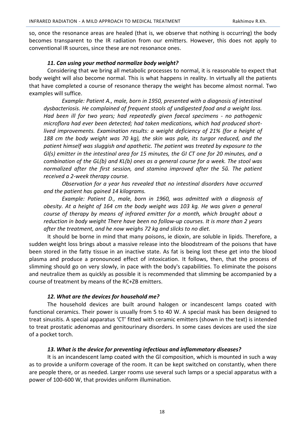so, once the resonance areas are healed (that is, we observe that nothing is occurring) the body becomes transparent to the IR radiation from our emitters. However, this does not apply to conventional IR sources, since these are not resonance ones.

## *11. Can using your method normalize body weight?*

Considering that we bring all metabolic processes to normal, it is reasonable to expect that body weight will also become normal. This is what happens in reality. In virtually all the patients that have completed a course of resonance therapy the weight has become almost normal. Two examples will suffice.

*Example: Patient A., male, born in 1950, presented with a diagnosis of intestinal dysbacteriosis. He complained of frequent stools of undigested food and a weight loss. Had been ill for two years; had repeatedly given faecal specimens - no pathogenic microflora had ever been detected; had taken medications, which had produced shortlived improvements. Examination results: a weight deficiency of 21% (for a height of 188 cm the body weight was 70 kg), the skin was pale, its turgor reduced, and the patient himself was sluggish and apathetic. The patient was treated by exposure to the GI(s) emitter in the intestinal area for 15 minutes, the GI CT one for 20 minutes, and a combination of the GL(b) and KL(b) ones as a general course for a week. The stool was normalized after the first session, and stamina improved after the 5й. The patient received a 2-week therapy course.*

*Observation for a year has revealed that no intestinal disorders have occurred and the patient has gained 14 kilograms.*

*Example: Patient D., male, born in 1960, was admitted with a diagnosis of obesity. At a height of 164 cm the body weight was 103 kg. He was given a general course of therapy by means of infrared emitter for a month, which brought about a reduction in body weight There have been no follow-up courses. It is more than 2 years after the treatment, and he now weighs 72 kg and slicks to no diet.*

It should be borne in mind that many poisons, ie dioxin, are soluble in lipids. Therefore, a sudden weight loss brings about a massive release into the bloodstream of the poisons that have been stored in the fatty tissue in an inactive state. As fat is being lost these get into the blood plasma and produce a pronounced effect of intoxication. It follows, then, that the process of slimming should go on very slowly, in pace with the body's capabilities. To eliminate the poisons and neutralize them as quickly as possible it is recommended that slimming be accompanied by a course of treatment by means of the RC+ZB emitters.

# *12. What are the devices for household me?*

The household devices are built around halogen or incandescent lamps coated with functional ceramics. Their power is usually from 5 to 40 W. A special mask has been designed to treat sinusitis. A special apparatus 'CT' fitted with ceramic emitters (shown in the text) is intended to treat prostatic adenomas and genitourinary disorders. In some cases devices are used the size of a pocket torch.

# *13. What is the device for preventing infectious and inflammatory diseases?*

It is an incandescent lamp coated with the Gl composition, which is mounted in such a way as to provide a uniform coverage of the room. It can be kept switched on constantly, when there are people there, or as needed. Larger rooms use several such lamps or a special apparatus with a power of 100-600 W, that provides uniform illumination.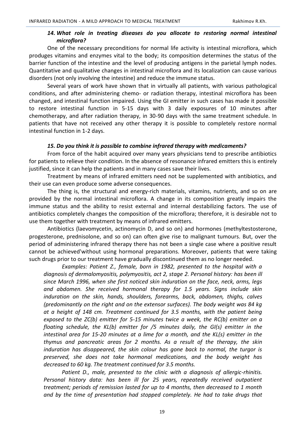# *14. What role in treating diseases do you allocate to restoring normal intestinal microflora?*

One of the necessary preconditions for normal life activity is intestinal microflora, which produges vitamins and enzymes vital to the body; its composition determines the status of the barrier function of the intestine and the level of producing antigens in the parietal lymph nodes. Quantitative and qualitative changes in intestinal microflora and its localization can cause various disorders (not only involving the intestine) and reduce the immune status.

Several years of work have shown that in virtually all patients, with various pathological conditions, and after administering chemo- or radiation therapy, intestinal microflora has been changed, and intestinal function impaired. Using the GI emitter in such cases has made it possible to restore intestinal function in 5-15 days with 3 daily exposures of 10 minutes after chemotherapy, and after radiation therapy, in 30-90 days with the same treatment schedule. In patients that have not received any other therapy it is possible to completely restore normal intestinal function in 1-2 days.

# *15. Do you think it is possible to combine infrared therapy with medicaments?*

From force of the habit acquired over many years physicians tend to prescribe antibiotics for patients to relieve their condition. In the absence of resonance infrared emitters this is entirely justified, since it can help the patients and in many cases save their lives.

Treatment by means of infrared emitters need not be supplemented with antibiotics, and their use can even produce some adverse consequences.

The thing is, the structural and energy-rich materials, vitamins, nutrients, and so on are provided by the normal intestinal microflora. A change in its composition greatly impairs the immune status and the ability to resist external and internal destabilizing factors. The use of antibiotics completely changes the composition of the microflora; therefore, it is desirable not to use them together with treatment by means of infrared emitters.

Antibiotics (laevomycetin, actinomycin D, and so on) and hormones (methyltestosterone, progesterone, prednisolone, and so on) can often give rise to malignant tumours. But, over the period of administering infrared therapy there has not been a single case where a positive result cannot be achieved'without using hormonal preparations. Moreover, patients that were taking such drugs prior to our treatment have gradually discontinued them as no longer needed.

*Examples: Patient Z., female, born in 1982, presented to the hospital with a diagnosis of dermalomyositis, polymyositis, act 2, stage 2. Personal history: has been ill since March 1996, when she first noticed skin induration on the face, neck, arms, legs and abdomen. She received hormonal therapy for 1.5 years. Signs include skin induration on the skin, hands, shoulders, forearms, back, abdomen, thighs, calves (predominantly on the right and on the extensor surfaces). The body weight was 84 kg at a height of 148 cm. Treatment continued for 3.5 months, with the patient being exposed to the ZC(b) emitter for 5-15 minutes twice a week, the RC(b) emitter on a floating schedule, the KL(b) emitter for /5 minutes daily, the GI(s) emitter in the intestinal area for 15-20 minutes at a lime for a month, and the KL(s) emitter in the thymus and pancreatic areas for 2 months. As a result of the therapy, the skin induration has disappeared, the skin colour has gone back to normal, the turgor is preserved, she does not take hormonal medications, and the body weight has decreased to 60 kg. The treatment continued for 3.5 months.*

*Patient D., male, presented to the clinic with a diagnosis of allergic-rhinitis. Personal history data: has been ill for 25 years, repeatedly received outpatient treatment; periods of remission lasted for up to 4 months, then decreased to 1 month and by the time of presentation had stopped completely. He had to take drugs that*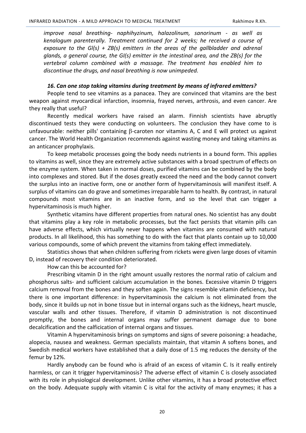*improve nasal breathing- naphihyzinum, halazolinum, sanorinum - as well as kenalogum parenterally. Treatment continued for 2 weeks; he received a course of exposure to the Gl(s) + ZB(s) emitters in the areas of the gallbladder and adrenal glands, a general course, the GI(s) emitter in the intestinal area, and the ZB(s) for the vertebral column combined with a massage. The treatment has enabled him to discontinue the drugs, and nasal breathing is now unimpeded.*

#### *16. Can one stop taking vitamins during treatment by means of infrared emitters?*

People tend to see vitamins as a panacea. They are convinced that vitamins are the best weapon against myocardical infarction, insomnia, frayed nerves, arthrosis, and even cancer. Are they really that useful?

Recently medical workers have raised an alarm. Finnish scientists have abruptly discontinued tests they were conducting on volunteers. The conclusion they have come to is unfavourable: neither pills' containing  $\beta$ -caroten nor vitamins A, C and E will protect us against cancer. The World Health Organization recommends against wasting money and taking vitamins as an anticancer prophylaxis.

To keep metabolic processes going the body needs nutrients in a bound form. This applies to vitamins as well, since they are extremely active substances with a broad spectrum of effects on the enzyme system. When taken in normal doses, purified vitamins can be combined by the body into complexes and stored. But if the doses greatly exceed the need and the body cannot convert the surplus into an inactive form, one or another form of hypervitaminosis will manifest itself. A surplus of vitamins can do grave and sometimes irreparable harm to health. By contrast, in natural compounds most vitamins are in an inactive form, and so the level that can trigger a hypervitaminosis is much higher.

Synthetic vitamins have different properties from natural ones. No scientist has any doubt that vitamins play a key role in metabolic processes, but the fact persists that vitamin pills can have adverse effects, which virtually never happens when vitamins are consumed with natural products. In all likelihood, this has something to do with the fact that plants contain up to 10,000 various compounds, some of which prevent the vitamins from taking effect immediately.

Statistics shows that when children suffering from rickets were given large doses of vitamin D, instead of recovery their condition deteriorated.

How can this be accounted for?

Prescribing vitamin D in the right amount usually restores the normal ratio of calcium and phosphorus salts- and sufficient calcium accumulation in the bones. Excessive vitamin D triggers calcium removal from the bones and they soften again. The signs resemble vitamin deficiency, but there is one important difference: in hypervitaminosis the calcium is not eliminated from the body, since it builds up not in bone tissue but in internal organs such as the kidneys, heart muscle, vascular walls and other tissues. Therefore, if vitamin D administration is not discontinued promptly, the bones and internal organs may suffer permanent damage due to bone decalcification and the calficication of internal organs and tissues.

Vitamin A hypervitaminosis brings on symptoms and signs of severe poisoning: a headache, alopecia, nausea and weakness. German specialists maintain, that vitamin A softens bones, and Swedish medical workers have established that a daily dose of 1.5 mg reduces the density of the femur by 12%.

Hardly anybody can be found who is afraid of an excess of vitamin C. Is it really entirely harmless, or can it trigger hypervitaminosis? The adverse effect of vitamin C is closely associated with its role in physiological development. Unlike other vitamins, it has a broad protective effect on the body. Adequate supply with vitamin С is vital for the activity of many enzymes; it has a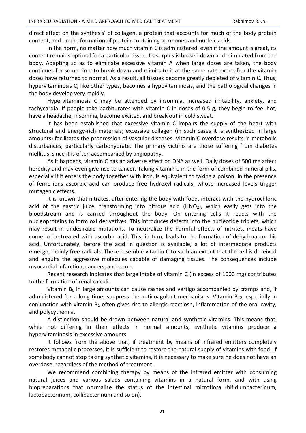direct effect on the synthesis' of collagen, a protein that accounts for much of the body protein content, and on the formation of protein-containing hormones and nucleic acids.

In the norm, no matter how much vitamin C is administered, even if the amount is great, its content remains optimal for a particular tissue. Its surplus is broken down and eliminated from the body. Adapting so as to eliminate excessive vitamin A when large doses are taken, the body continues for some time to break down and eliminate it at the same rate even after the vitamin doses have returned to normal. As a result, all tissues become greatly depleted of vitamin C. Thus, hypervitaminosis C, like other types, becomes a hypovitaminosis, and the pathological changes in the body develop very rapidly.

Hypervitaminosis С may be attended by insomnia, increased irritability, anxiety, and tachycardia. If people take barbiturates with vitamin С in doses of 0.5 g, they begin to feel hot, have a headache, insomnia, become excited, and break out in cold sweat.

It has been established that excessive vitamin С impairs the supply of the heart with structural and energy-rich materials; excessive collagen (in such cases it is synthesized in large amounts) facilitates the progression of vascular diseases. Vitamin С overdose results in metabolic disturbances, particularly carbohydrate. The primary victims are those suffering from diabetes mellitus, since it is often accompanied by angiopathy.

As it happens, vitamin С has an adverse effect on DNA as well. Daily doses of 500 mg affect heredity and may even give rise to cancer. Taking vitamin C in the form of combined mineral pills, especially if it enters the body together with iron, is equivalent to taking a poison. In the presence of ferric ions ascorbic acid can produce free hydroxyl radicals, whose increased levels trigger mutagenic effects.

It is known that nitrates, after entering the body with food, interact with the hydrochloric acid of the gastric juice, transforming into nitrous acid  $(HNO<sub>2</sub>)$ , which easily gets into the bloodstream and is carried throughout the body. On entering cells it reacts with the nucleoproteins to form oxi derivatives. This introduces defects into the nucleotide triplets, which may result in undesirable mutations. To neutralize the harmful effects of nitrites, meats have come to be treated with ascorbic acid. This, in turn, leads to the formation of dehydroascor-bic acid. Unfortunately, before the acid in question is available, a lot of intermediate products emerge, mainly free radicals. These resemble vitamin С to such an extent that the cell is deceived and engulfs the aggressive molecules capable of damaging tissues. The consequences include myocardial infarction, cancers, and so on.

Recent research indicates that large intake of vitamin C (in excess of 1000 mg) contributes to the formation of renal calculi.

Vitamin  $B_6$  in large amounts can cause rashes and vertigo accompanied by cramps and, if administered for a long time, suppress the anticoagulant mechanisms. Vitamin  $B_{12}$ , especially in conjunction with vitamin  $B_1$  often gives rise to allergic reactiosn, inflammation of the oral cavity, and polycythemia.

A distinction should be drawn between natural and synthetic vitamins. This means that, while not differing in their effects in normal amounts, synthetic vitamins produce a hypervitaminosis in excessive amounts.

It follows from the above that, if treatment by means of infrared emitters completely restores metabolic processes, it is sufficient to restore the natural supply of vitamins with food. If somebody cannot stop taking synthetic vitamins, it is necessary to make sure he does not have an overdose, regardless of the method of treatment.

We recommend combining therapy by means of the infrared emitter with consuming natural juices and various salads containing vitamins in a natural form, and with using biopreparations that normalize the status of the intestinal microflora (bifidumbacterinum, lactobacterinum, collibacterinum and so on).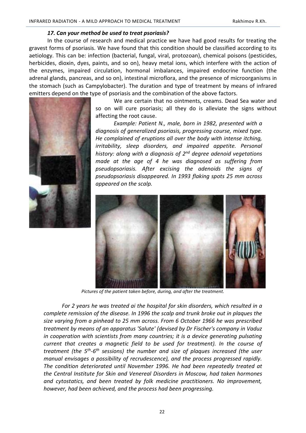## *17. Can your method be used to treat psoriasis?*

In the course of research and medical practice we have had good results for treating the gravest forms of psoriasis. We have found that this condition should be classified according to its aetiology. This can be: infection (bacterial, fungal, viral, protozoan), chemical poisons (pesticides, herbicides, dioxin, dyes, paints, and so on), heavy metal ions, which interfere with the action of the enzymes, impaired circulation, hormonal imbalances, impaired endocrine function (the adrenal glands, pancreas, and so on), intestinal microflora, and the presence of microorganisms in the stomach (such as Campylobacter). The duration and type of treatment by means of infrared emitters depend on the type of psoriasis and the combination of the above factors.



We are certain that no ointments, creams. Dead Sea water and so on will cure psoriasis; all they do is alleviate the signs without affecting the root cause.

*Example: Patient N., male, born in 1982, presented with a diagnosis of generalized psoriasis, progressing course, mixed type. He complained of eruptions all over the body with intense itching, irritability, sleep disorders, and impaired appetite. Personal history: along with a diagnosis of 2nd degree adenoid vegetations made at the age of 4 he was diagnosed as suffering from pseudopsoriasis. After excising the adenoids the signs of pseudopsoriasis disappeared. In 1993 flaking spots 25 mm across appeared on the scalp.* 



*Pictures of the patient taken before, during, and after the treatment.*

*For 2 years he was treated ai the hospital for skin disorders, which resulted in a complete remission of the disease. In 1996 the scalp and trunk broke out in plaques the size varying from a pinhead to 25 mm across. From 6 October 1966 he was prescribed treatment by means of an apparatus 'Salute' (devised by Dr Fischer's company in Vaduz in cooperation with scientists from many countries; it is a device generating pulsating current that creates a magnetic field to be used for treatment). In the course of*  treatment (the 5<sup>th</sup>-6<sup>th</sup> sessions) the number and size of plaques increased (the user *manual envisages a possibility of recrudescence), and the process progressed rapidly. The condition deteriorated until November 1996. He had been repeatedly treated at the Central Institute for Skin and Venereal Disorders in Moscow, had taken hormones and cytostatics, and been treated by folk medicine practitioners. No improvement, however, had been achieved, and the process had been progressing.*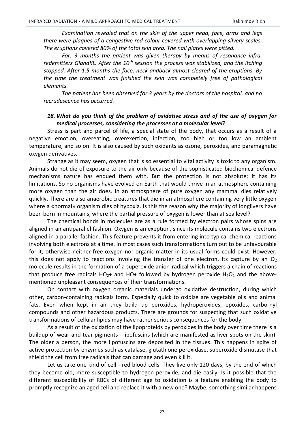*Examination revealed that on the skin of the upper head, face, arms and legs there were plaques of a congestive red colour covered with overlapping silvery scales. The eruptions covered 80% of the total skin area. The nail plates were pitted.*

*For. 3 months the patient was given therapy by means of resonance infraredemitters GlandKL. After the 10th session the process was stabilized, and the itching stopped. After 1.5 months the face, neck andback almost cleared of the eruptions. By the time the treatment was finished the skin was completely free of pathological elements.*

*The patient has been observed for 3 years by the doctors of the hospital, and no recrudescence has occurred.*

# *18. What do you think of the problem of oxidative stress and of the use of oxygen for medical processes, considering the processes at a molecular level?*

Stress is part and parcel of life, a special state of the body, that occurs as a result of a negative emotion, overeating, overexertion, infection, too high or too low an ambient temperature, and so on. It is also caused by such oxidants as ozone, peroxides, and paramagnetic oxygen derivatives.

Strange as it may seem, oxygen that is so essential to vital activity is toxic to any organism. Animals do not die of exposure to the air only because of the sophisticated biochemical defence mechanisms nature has endued them with. But the protection is not absolute; it has its limitations. So no organisms have evolved on Earth that would thrive in an atmosphere containing more oxygen than the air does. In an atmosphere of pure oxygen any mammal dies relatively quickly. There are also anaerobic creatures that die in an atmosphere containing very little oxygen where a «normal» organism dies of hypoxia. Is this the reason why the majority of longlivers have been born in mountains, where the partial pressure of oxygen is lower than at sea level?

The chemical bonds in molecules are as a rule formed by electron pairs whose spins are aligned in an antiparallel fashion. Oxygen is an exeption, since its molecule contains two electrons aligned in a parallel fashion. This feature prevents it from entering into typical chemical reactions involving both electrons at a time. In most cases such transformations turn out to be unfavourable for it; otherwise neither free oxygen nor organic matter in its usual forms could exist. However, this does not apply to reactions involving the transfer of one electron. Its capture by an  $O<sub>2</sub>$ molecule results in the formation of a superoxide anion-radical which triggers a chain of reactions that produce free radicals  $HO_2\bullet$  and  $HO\bullet$  followed by hydrogen peroxide  $H_2O_2$  and the abovementioned unpleasant consequences of their transformations.

On contact with oxygen organic materials undergo oxidative destruction, during which other, carbon-containing radicals form. Especially quick to oxidize are vegetable oils and animal fats. Even when kept in air they build up peroxides, hydroperoxides, epoxides, carbo-nyl compounds and other hazardous products. There are grounds for suspecting that such oxidative transformations of cellular lipids may have rather serious consequences for the body.

As a result of the oxidation of the lipoproteids by peroxides in the body over time there is a buildup of wear-and-tear pigments - lipofuscins (which are manifested as liver spots on the skin). The older a person, the more lipofuscins are deposited in the tissues. This happens in spite of active protection by enzymes such as catalase, glutathione peroxidase, superoxide dismutase that shield the cell from free radicals that can damage and even kill it.

Let us take one kind of cell - red blood cells. They live only 120 days, by the end of which they become old, more susceptible to hydrogen peroxide, and die easily. Is it possible that the different susceptibility of RBCs of different age to oxidation is a feature enabling the body to promptly recognize an aged cell and replace it with a new one? Maybe, something similar happens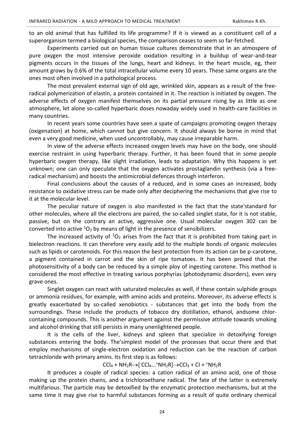to an old animal that has fulfilled its life programme? If it is viewed as a constituent cell of a superorganism termed a biological species, the comparison ceases to seem so far-fetched.

Experiments carried out on human tissue cultures demonstrate that in an atmospere of pure oxygen the most intensive peroxide oxidation resulting in a buildup of wear-and-tear pigments occurs in the tissues of the lungs, heart and kidneys. In the heart muscle, eg, their amount grows by 0.6% of the total intracellular volume every 10 years. These same organs are the ones most often involved in a pathological process.

The most prevalent external sign of old age, wrinkled skin, appears as a result of the freeradical polymerization of elastin, a protein contained in it. The reaction is initiated by oxygen. The adverse effects of oxygen manifest themselves on its partial pressure rising by as little as one atmosphere, let alone so-called hyperbaric doses nowaday widely used in health-care facilities in many countries.

In recent years some countries have seen a spate of campaigns promoting oxygen therapy (oxigenation) at home, which cannot but give concern. It should always be borne in mind that even a very good medicine, when used uncontrollably, may cause irreparable harm.

In view of the adverse effects increased oxygen levels may have on the body, one should exercise restraint in using hyperbaric therapy. Further, it has been found that in some people hyperbaric oxygen therapy, like slight irradiation, leads to adaptation. Why this happens is yet unknown; one can only speculate that the oxygen activates prostaglandin synthesis (via a freeradical mechanism) and boosts the antimicrobial defences through interferon.

Final conclusions about the causes of a reduced, and in some cases an increased, body resistance to oxidative stress can be made only after deciphering the mechanisms that give rise to it at the molecular level.

The peculiar nature of oxygen is also manifested in the fact that the state'standard for other molecules, where all the electrons are paired, the so-called singlet state, for it is not stable, passive, but on the contrary an active, aggressive one. Usual molecular oxygen 302 can be converted into active  ${}^{1}O_{2}$  by means of light in the presence of sensibilizers.

The increased activity of  ${}^{1}O_2$  arises from the fact that it is prohibited from taking part in bielectron reactions. It can therefore very easily add to the multiple bonds of organic molecules such as lipids or carotenoids. For this reason the best protection from its action can be p-carotene, a pigment contained in carrot and the skin of ripe tomatoes. It has been proved that the photosensitivity of a body can be reduced by a simple ploy of ingesting carotene. This method is considered the most effective in treating various porphyrias (photodynamic disorders), even very grave ones.

Singlet oxygen can react with saturated molecules as well, if these contain sulphide groups or ammonia residues, for example, with amino acids and proteins. Moreover, its adverse effects is greatly exacerbated by so-called xenobiotics - substances that get into the body from the surroundings. These include the products of tobacco dry distillation, ethanol, andsome chlorcontaining compounds. This is another argument against the permissive attitude towards smoking and alcohol drinking that still persists in many unenlightened people.

It is the cells of the liver, kidneys and spleen that specialize in detoxifying foreign substances entering the body. The'simplest model of the processes that occur there and that employ mechanisms of single-electron oxidation and reduction can be the reaction of carbon tetrachloride with primary amins. Its first step is as follows:

 $CCl_4 + NH_2R \rightarrow [CCl_4...+NH_2R] \rightarrow CCl_3 + Cl + +NH_2R$ 

It produces a couple of radical species: a cation radical of an amino acid, one of those making up the protein chains, and a trichloroethane radical. The fate of the latter is extremely multifarious. The particle may be detoxified by the enzymatic protection mechanisms, but at the same time it may give rise to harmful substances forming as a result of quite ordinary chemical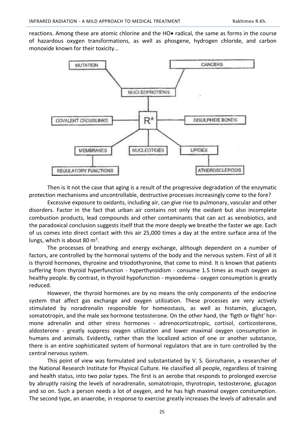reactions. Among these are atomic chlorine and the  $HO\bullet$  radical, the same as forms in the course of hazardous oxygen transformations, as well as phosgene, hydrogen chloride, and carbon monoxide known for their toxicity...



Then is it not the case that aging is a result of the progressive degradation of the enzymatic protection mechanisms and uncontrollable, destructive processes increasingly come to the fore?

Excessive exposure to oxidants, including air, can give rise to pulmonary, vascular and other disorders. Factor in the fact that urban air contains not only the oxidant but also incomplete combustion products, lead compounds and other contaminants that can act as xenobiotics, and the paradoxical conclusion suggests itself that the more deeply we breathe the faster we age. Each of us comes into direct contact with this air 25,000 times a day at the entire surface area of the lungs, which is about 80  $m^2$ .

The processes of breathing and energy exchange, although dependent on a number of factors, are controlled by the hormonal systems of the body and the nervous system. First of all it is thyroid hormones, thyroxine and triiodothyronine, that come to mind. It is known that patients suffering from thyroid hyperfunction - hyperthyroidism - consume 1.5 times as much oxygen as healthy people. By contrast, in thyroid hypofunction - myxoedema - oxygen consumption is greatly reduced.

However, the thyroid hormones are by no means the only components of the endocrine system that affect gas exchange and oxygen utilization. These processes are very actively stimulated by noradrenalin responsible for homeostasis, as well as histamin, glucagon, somatotropin, and the male sex hormone testosterone. On the other hand, the 'figth or flight' hormone adrenalin and other stress hormones - adrenocorticotropic, cortisol, corticosterone, aldosterone - greatly suppress oxygen utilization and lower maximal oxygen consumption in humans and animals. Evidently, rather than the localized action of one or another substance, there is an entire sophisticated system of hormonal regulators that are in turn controlled by the central nervous system.

This point of view was formulated and substantiated by V. S. Gorozhanin, a researcher of the National Research Institute for Physical Culture. He classified all people, regardless of training and health status, into two polar types. The first is an aerobe that responds to prolonged exercise by abruptly raising the levels of noradrenalin, somatotropin, thyrotropin, testosterone, glucagon and so on. Such a person needs a lot of oxygen, and he has high maximal oxygen constumption. The second type, an anaerobe, in response to exercise greatly increases the levels of adrenalin and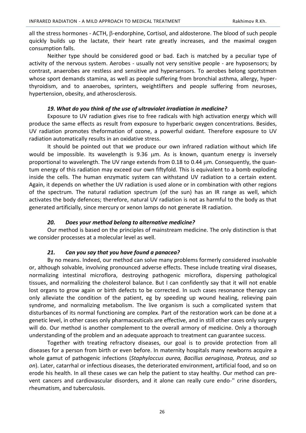all the stress hormones - ACTH,  $\beta$ -endorphine, Cortisol, and aldosterone. The blood of such people quickly builds up the lactate, their heart rate greatly increases, and the maximal oxygen consumption falls.

Neither type should be considered good or bad. Each is matched by a peculiar type of activity of the nervous system. Aerobes - usually not very sensitive people - are hyposensors; by contrast, anaerobes are restless and sensitive and hypersensors. To aerobes belong sportstmen whose sport demands stamina, as well as people suffering from bronchial asthma, allergy, hyperthyroidism, and to anaerobes, sprinters, weightlifters and people suffering from neuroses, hypertension, obesity, and atherosclerosis.

## *19. What do you think of the use of ultraviolet irradiation in medicine?*

Exposure to UV radiation gives rise to free radicals with high activation energy which will produce the same effects as result from exposure to hyperbaric oxygen concentrations. Besides, UV radiation promotes theformation of ozone, a powerful oxidant. Therefore exposure to UV radiation automatically results in an oxidative stress.

It should be pointed out that we produce our own infrared radiation without which life would be impossible. Its wavelength is 9.36 µm. As is known, quantum energy is inversely proportional to wavelength. The UV range extends from 0.18 to 0.44  $\mu$ m. Consequently, the quantum energy of this radiation may exceed our own fiftyfold. This is equivalent to a bomb exploding inside the cells. The human enzymatic system can withstand UV radiation to a certain extent. Again, it depends on whether the UV radiation is used alone or in combination with other regions of the spectrum. The natural radiation spectrum (of the sun) has an IR range as well, which activates the body defences; therefore, natural UV radiation is not as harmful to the body as that generated artificially, since mercury or xenon lamps do not generate IR radiation.

# *20. Does your method belong to alternative medicine?*

Our method is based on the principles of mainstream medicine. The only distinction is that we consider processes at a molecular level as well.

# *21. Can you say that you have found a panacea?*

By no means. Indeed, our method can solve many problems formerly considered insolvable or, although solvable, involving pronounced adverse effects. These include treating viral diseases, normalizing intestinal microflora, destroying pathogenic microflora, dispersing pathological tissues, and normalizing the cholesterol balance. But I can confidently say that it will not enable lost organs to grow again or birth defects to be corrected. In such cases resonance therapy can only alleviate the condition of the patient, eg by speeding up wound healing, relieving pain syndrome, and normalizing metabolism. The live organism is such a complicated system that disturbances of its normal functioning are complex. Part of the restoration work can be done at a genetic level, in other cases only pharmaceuticals are effective, and in still other cases only surgery will do. Our method is another complement to the overall armory of medicine. Only a thorough understanding of the problem and an adequate approach to treatment can guarantee success.

Together with treating refractory diseases, our goal is to provide protection from all diseases for a person from birth or even before. In maternity hospitals many newborns acquire a whole gamut of pathogenic infections (*Staphyloccus aurea, Bacillus aeruginosa, Proteus, and so on*). Later, catarrhal or infectious diseases, the deteriorated environment, artificial food, and so on erode his health. In all these cases we can help the patient to stay healthy. Our method can prevent cancers and cardiovascular disorders, and it alone can really cure endo-'' crine disorders, rheumatism, and tuberculosis.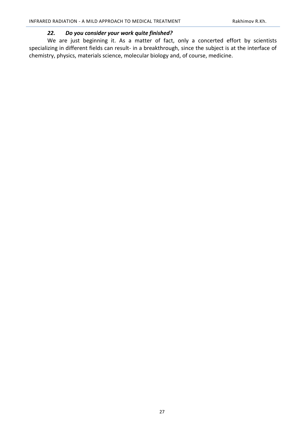# *22. Do you consider your work quite finished?*

We are just beginning it. As a matter of fact, only a concerted effort by scientists specializing in different fields can result- in a breakthrough, since the subject is at the interface of chemistry, physics, materials science, molecular biology and, of course, medicine.